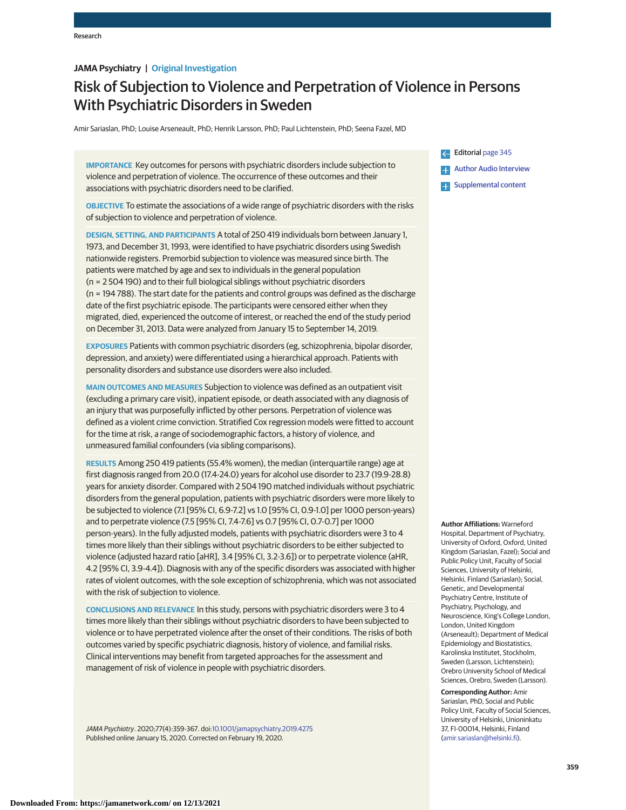# **JAMA Psychiatry | Original Investigation**

# Risk of Subjection to Violence and Perpetration of Violence in Persons With Psychiatric Disorders in Sweden

Amir Sariaslan, PhD; Louise Arseneault, PhD; Henrik Larsson, PhD; Paul Lichtenstein, PhD; Seena Fazel, MD

**IMPORTANCE** Key outcomes for persons with psychiatric disorders include subjection to violence and perpetration of violence. The occurrence of these outcomes and their associations with psychiatric disorders need to be clarified.

**OBJECTIVE** To estimate the associations of a wide range of psychiatric disorders with the risks of subjection to violence and perpetration of violence.

**DESIGN, SETTING, AND PARTICIPANTS** A total of 250 419 individuals born between January 1, 1973, and December 31, 1993, were identified to have psychiatric disorders using Swedish nationwide registers. Premorbid subjection to violence was measured since birth. The patients were matched by age and sex to individuals in the general population (n = 2 504 190) and to their full biological siblings without psychiatric disorders (n = 194 788). The start date for the patients and control groups was defined as the discharge date of the first psychiatric episode. The participants were censored either when they migrated, died, experienced the outcome of interest, or reached the end of the study period on December 31, 2013. Data were analyzed from January 15 to September 14, 2019.

**EXPOSURES** Patients with common psychiatric disorders (eg, schizophrenia, bipolar disorder, depression, and anxiety) were differentiated using a hierarchical approach. Patients with personality disorders and substance use disorders were also included.

**MAIN OUTCOMES AND MEASURES** Subjection to violence was defined as an outpatient visit (excluding a primary care visit), inpatient episode, or death associated with any diagnosis of an injury that was purposefully inflicted by other persons. Perpetration of violence was defined as a violent crime conviction. Stratified Cox regression models were fitted to account for the time at risk, a range of sociodemographic factors, a history of violence, and unmeasured familial confounders (via sibling comparisons).

**RESULTS** Among 250 419 patients (55.4% women), the median (interquartile range) age at first diagnosis ranged from 20.0 (17.4-24.0) years for alcohol use disorder to 23.7 (19.9-28.8) years for anxiety disorder. Compared with 2 504 190 matched individuals without psychiatric disorders from the general population, patients with psychiatric disorders were more likely to be subjected to violence (7.1 [95% CI, 6.9-7.2] vs 1.0 [95% CI, 0.9-1.0] per 1000 person-years) and to perpetrate violence (7.5 [95% CI, 7.4-7.6] vs 0.7 [95% CI, 0.7-0.7] per 1000 person-years). In the fully adjusted models, patients with psychiatric disorders were 3 to 4 times more likely than their siblings without psychiatric disorders to be either subjected to violence (adjusted hazard ratio [aHR], 3.4 [95% CI, 3.2-3.6]) or to perpetrate violence (aHR, 4.2 [95% CI, 3.9-4.4]). Diagnosis with any of the specific disorders was associated with higher rates of violent outcomes, with the sole exception of schizophrenia, which was not associated with the risk of subjection to violence.

**CONCLUSIONS AND RELEVANCE** In this study, persons with psychiatric disorders were 3 to 4 times more likely than their siblings without psychiatric disorders to have been subjected to violence or to have perpetrated violence after the onset of their conditions. The risks of both outcomes varied by specific psychiatric diagnosis, history of violence, and familial risks. Clinical interventions may benefit from targeted approaches for the assessment and management of risk of violence in people with psychiatric disorders.

JAMA Psychiatry. 2020;77(4):359-367. doi[:10.1001/jamapsychiatry.2019.4275](https://jamanetwork.com/journals/jama/fullarticle/10.1001/jamapsychiatry.2019.4275?utm_campaign=articlePDF%26utm_medium=articlePDFlink%26utm_source=articlePDF%26utm_content=jamapsychiatry.2019.4275) Published online January 15, 2020. Corrected on February 19, 2020.



**Author Affiliations:** Warneford

Hospital, Department of Psychiatry, University of Oxford, Oxford, United Kingdom (Sariaslan, Fazel); Social and Public Policy Unit, Faculty of Social Sciences, University of Helsinki, Helsinki, Finland (Sariaslan); Social, Genetic, and Developmental Psychiatry Centre, Institute of Psychiatry, Psychology, and Neuroscience, King's College London, London, United Kingdom (Arseneault); Department of Medical Epidemiology and Biostatistics, Karolinska Institutet, Stockholm, Sweden (Larsson, Lichtenstein); Orebro University School of Medical Sciences, Orebro, Sweden (Larsson).

**Corresponding Author:** Amir Sariaslan, PhD, Social and Public Policy Unit, Faculty of Social Sciences, University of Helsinki, Unioninkatu 37, FI-00014, Helsinki, Finland [\(amir.sariaslan@helsinki.fi\)](mailto:amir.sariaslan@helsinki.fi).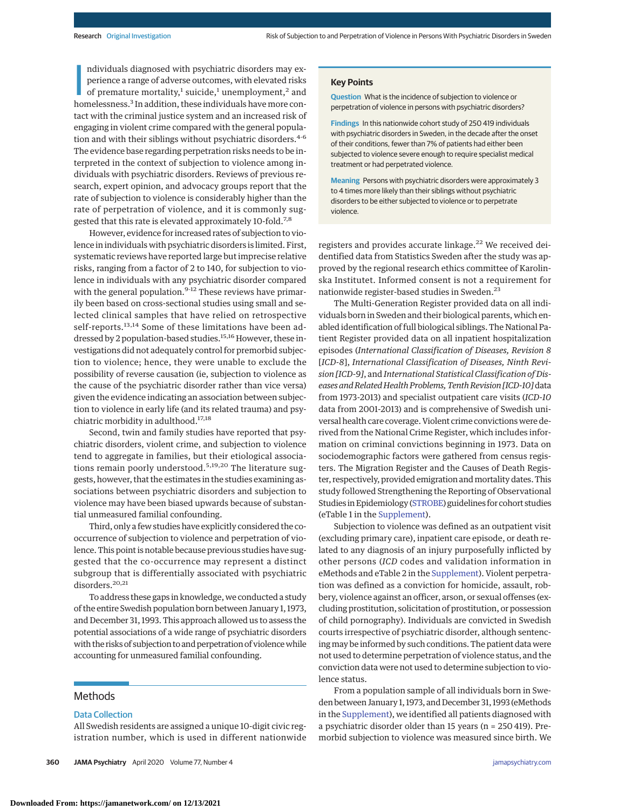ndividuals diagnosed with psychiatric disorders may experience a range of adverse outcomes, with elevated risks of premature mortality,<sup>1</sup> suicide,<sup>1</sup> unemployment,<sup>2</sup> and homelessness.<sup>3</sup> In addition, these individuals h ndividuals diagnosed with psychiatric disorders may experience a range of adverse outcomes, with elevated risks of premature mortality,<sup>1</sup> suicide,<sup>1</sup> unemployment,<sup>2</sup> and tact with the criminal justice system and an increased risk of engaging in violent crime compared with the general population and with their siblings without psychiatric disorders.<sup>4-6</sup> The evidence base regarding perpetration risks needs to be interpreted in the context of subjection to violence among individuals with psychiatric disorders. Reviews of previous research, expert opinion, and advocacy groups report that the rate of subjection to violence is considerably higher than the rate of perpetration of violence, and it is commonly suggested that this rate is elevated approximately 10-fold.7,8

However, evidence for increased rates of subjection to violence in individuals with psychiatric disorders is limited. First, systematic reviews have reported large but imprecise relative risks, ranging from a factor of 2 to 140, for subjection to violence in individuals with any psychiatric disorder compared with the general population.<sup>9-12</sup> These reviews have primarily been based on cross-sectional studies using small and selected clinical samples that have relied on retrospective self-reports.<sup>13,14</sup> Some of these limitations have been addressed by 2 population-based studies.<sup>15,16</sup> However, these investigations did not adequately control for premorbid subjection to violence; hence, they were unable to exclude the possibility of reverse causation (ie, subjection to violence as the cause of the psychiatric disorder rather than vice versa) given the evidence indicating an association between subjection to violence in early life (and its related trauma) and psychiatric morbidity in adulthood.17,18

Second, twin and family studies have reported that psychiatric disorders, violent crime, and subjection to violence tend to aggregate in families, but their etiological associations remain poorly understood.<sup>5,19,20</sup> The literature suggests, however, that the estimates in the studies examining associations between psychiatric disorders and subjection to violence may have been biased upwards because of substantial unmeasured familial confounding.

Third, only a few studies have explicitly considered the cooccurrence of subjection to violence and perpetration of violence. This point is notable because previous studies have suggested that the co-occurrence may represent a distinct subgroup that is differentially associated with psychiatric disorders.<sup>20,21</sup>

To address these gaps in knowledge, we conducted a study of the entire Swedish population born between January 1, 1973, and December 31, 1993. This approach allowed us to assess the potential associations of a wide range of psychiatric disorders with the risks of subjection to and perpetration of violencewhile accounting for unmeasured familial confounding.

# Methods

# Data Collection

All Swedish residents are assigned a unique 10-digit civic registration number, which is used in different nationwide

### **Key Points**

**Question** What is the incidence of subjection to violence or perpetration of violence in persons with psychiatric disorders?

**Findings** In this nationwide cohort study of 250 419 individuals with psychiatric disorders in Sweden, in the decade after the onset of their conditions, fewer than 7% of patients had either been subjected to violence severe enough to require specialist medical treatment or had perpetrated violence.

**Meaning** Persons with psychiatric disorders were approximately 3 to 4 times more likely than their siblings without psychiatric disorders to be either subjected to violence or to perpetrate violence.

registers and provides accurate linkage.<sup>22</sup> We received deidentified data from Statistics Sweden after the study was approved by the regional research ethics committee of Karolinska Institutet. Informed consent is not a requirement for nationwide register-based studies in Sweden.<sup>23</sup>

The Multi-Generation Register provided data on all individuals born in Sweden and their biological parents, which enabled identification of full biological siblings. The National Patient Register provided data on all inpatient hospitalization episodes (*International Classification of Diseases, Revision 8* [*ICD-8*], *International Classification of Diseases, Ninth Revision [ICD-9]*, and *International Statistical Classification of Diseases and Related Health Problems, Tenth Revision [ICD-10]*data from 1973-2013) and specialist outpatient care visits (*ICD-10* data from 2001-2013) and is comprehensive of Swedish universal health care coverage. Violent crime convictions were derived from the National Crime Register, which includes information on criminal convictions beginning in 1973. Data on sociodemographic factors were gathered from census registers. The Migration Register and the Causes of Death Register, respectively, provided emigration andmortality dates. This study followed Strengthening the Reporting of Observational Studies in Epidemiology [\(STROBE\)](https://www.equator-network.org/reporting-guidelines/strobe/) guidelines for cohort studies (eTable 1 in the [Supplement\)](https://jamanetwork.com/journals/jama/fullarticle/10.1001/jamapsychiatry.2019.4275?utm_campaign=articlePDF%26utm_medium=articlePDFlink%26utm_source=articlePDF%26utm_content=jamapsychiatry.2019.4275).

Subjection to violence was defined as an outpatient visit (excluding primary care), inpatient care episode, or death related to any diagnosis of an injury purposefully inflicted by other persons (*ICD* codes and validation information in eMethods and eTable 2 in the [Supplement\)](https://jamanetwork.com/journals/jama/fullarticle/10.1001/jamapsychiatry.2019.4275?utm_campaign=articlePDF%26utm_medium=articlePDFlink%26utm_source=articlePDF%26utm_content=jamapsychiatry.2019.4275). Violent perpetration was defined as a conviction for homicide, assault, robbery, violence against an officer, arson, or sexual offenses (excluding prostitution, solicitation of prostitution, or possession of child pornography). Individuals are convicted in Swedish courts irrespective of psychiatric disorder, although sentencingmay be informed by such conditions. The patient data were not used to determine perpetration of violence status, and the conviction data were not used to determine subjection to violence status.

From a population sample of all individuals born in Sweden between January 1, 1973, and December 31, 1993 (eMethods in the [Supplement\)](https://jamanetwork.com/journals/jama/fullarticle/10.1001/jamapsychiatry.2019.4275?utm_campaign=articlePDF%26utm_medium=articlePDFlink%26utm_source=articlePDF%26utm_content=jamapsychiatry.2019.4275), we identified all patients diagnosed with a psychiatric disorder older than 15 years (n = 250 419). Premorbid subjection to violence was measured since birth. We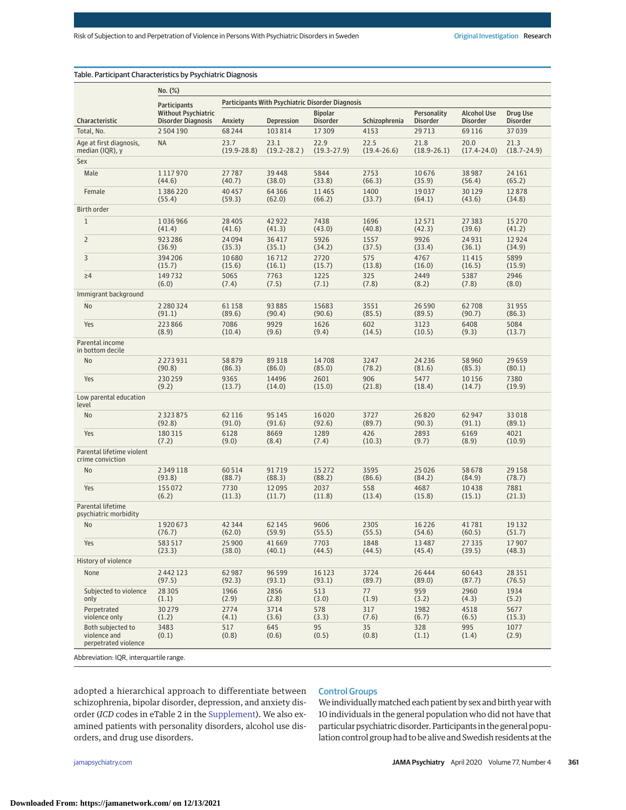|                                                           | $No. (\%)$                                              |                                                  |                 |                                   |                 |                                |                                       |                             |  |  |
|-----------------------------------------------------------|---------------------------------------------------------|--------------------------------------------------|-----------------|-----------------------------------|-----------------|--------------------------------|---------------------------------------|-----------------------------|--|--|
|                                                           | <b>Participants</b>                                     | Participants With Psychiatric Disorder Diagnosis |                 |                                   |                 |                                |                                       |                             |  |  |
| Characteristic                                            | <b>Without Psychiatric</b><br><b>Disorder Diagnosis</b> | Anxiety                                          | Depression      | <b>Bipolar</b><br><b>Disorder</b> | Schizophrenia   | Personality<br><b>Disorder</b> | <b>Alcohol Use</b><br><b>Disorder</b> | Drug Use<br><b>Disorder</b> |  |  |
| Total, No.                                                | 2504190                                                 | 68244                                            | 103814          | 17309                             | 4153            | 29713                          | 69116                                 | 37039                       |  |  |
| Age at first diagnosis,                                   | <b>NA</b>                                               | 23.7                                             | 23.1            | 22.9                              | 22.5            | 21.8                           | 20.0                                  | 21.3                        |  |  |
| median (IQR), y                                           |                                                         | $(19.9 - 28.8)$                                  | $(19.2 - 28.2)$ | $(19.3 - 27.9)$                   | $(19.4 - 26.6)$ | $(18.9 - 26.1)$                | $(17.4 - 24.0)$                       | $(18.7 - 24.9)$             |  |  |
| Sex                                                       |                                                         |                                                  |                 |                                   |                 |                                |                                       |                             |  |  |
| Male                                                      | 1117970                                                 | 27787                                            | 39448           | 5844                              | 2753            | 10676                          | 38987                                 | 24 16 1                     |  |  |
|                                                           | (44.6)                                                  | (40.7)                                           | (38.0)          | (33.8)                            | (66.3)          | (35.9)                         | (56.4)                                | (65.2)                      |  |  |
| Female                                                    | 1386220                                                 | 40 45 7                                          | 64366           | 11465                             | 1400            | 19037                          | 30129                                 | 12878                       |  |  |
|                                                           | (55.4)                                                  | (59.3)                                           | (62.0)          | (66.2)                            | (33.7)          | (64.1)                         | (43.6)                                | (34.8)                      |  |  |
| Birth order                                               |                                                         |                                                  |                 |                                   |                 |                                |                                       |                             |  |  |
| $\mathbf{1}$                                              | 1036966                                                 | 28 4 05                                          | 42922           | 7438                              | 1696            | 12571                          | 27383                                 | 15 2 70                     |  |  |
|                                                           | (41.4)                                                  | (41.6)                                           | (41.3)          | (43.0)                            | (40.8)          | (42.3)                         | (39.6)                                | (41.2)                      |  |  |
| $\overline{2}$                                            | 923286                                                  | 24094                                            | 36417           | 5926                              | 1557            | 9926                           | 24931                                 | 12924                       |  |  |
|                                                           | (36.9)                                                  | (35.3)                                           | (35.1)          | (34.2)                            | (37.5)          | (33.4)                         | (36.1)                                | (34.9)                      |  |  |
| 3                                                         | 394 206                                                 | 10680                                            | 16712           | 2720                              | 575             | 4767                           | 11415                                 | 5899                        |  |  |
|                                                           | (15.7)                                                  | (15.6)                                           | (16.1)          | (15.7)                            | (13.8)          | (16.0)                         | (16.5)                                | (15.9)                      |  |  |
| $\geq 4$                                                  | 149732                                                  | 5065                                             | 7763            | 1225                              | 325             | 2449                           | 5387                                  | 2946                        |  |  |
|                                                           | (6.0)                                                   | (7.4)                                            | (7.5)           | (7.1)                             | (7.8)           | (8.2)                          | (7.8)                                 | (8.0)                       |  |  |
| Immigrant background                                      |                                                         |                                                  |                 |                                   |                 |                                |                                       |                             |  |  |
| No                                                        | 2 2 8 0 3 2 4                                           | 61158                                            | 93885           | 15683                             | 3551            | 26 5 9 0                       | 62708                                 | 31955                       |  |  |
|                                                           | (91.1)                                                  | (89.6)                                           | (90.4)          | (90.6)                            | (85.5)          | (89.5)                         | (90.7)                                | (86.3)                      |  |  |
| Yes                                                       | 223866                                                  | 7086                                             | 9929            | 1626                              | 602             | 3123                           | 6408                                  | 5084                        |  |  |
|                                                           | (8.9)                                                   | (10.4)                                           | (9.6)           | (9.4)                             | (14.5)          | (10.5)                         | (9.3)                                 | (13.7)                      |  |  |
| Parental income<br>in bottom decile                       |                                                         |                                                  |                 |                                   |                 |                                |                                       |                             |  |  |
| No                                                        | 2273931                                                 | 58879                                            | 89318           | 14708                             | 3247            | 24 2 36                        | 58960                                 | 29659                       |  |  |
| Yes                                                       | (90.8)                                                  | (86.3)                                           | (86.0)          | (85.0)                            | (78.2)          | (81.6)                         | (85.3)                                | (80.1)                      |  |  |
|                                                           | 230259                                                  | 9365                                             | 14496           | 2601                              | 906             | 5477                           | 10156                                 | 7380                        |  |  |
|                                                           | (9.2)                                                   | (13.7)                                           | (14.0)          | (15.0)                            | (21.8)          | (18.4)                         | (14.7)                                | (19.9)                      |  |  |
| Low parental education<br>level                           |                                                         |                                                  |                 |                                   |                 |                                |                                       |                             |  |  |
| No                                                        | 2 3 2 3 8 7 5                                           | 62 116                                           | 95 1 45         | 16020                             | 3727            | 26820                          | 62947                                 | 33018                       |  |  |
|                                                           | (92.8)                                                  | (91.0)                                           | (91.6)          | (92.6)                            | (89.7)          | (90.3)                         | (91.1)                                | (89.1)                      |  |  |
| Yes                                                       | 180315                                                  | 6128                                             | 8669            | 1289                              | 426             | 2893                           | 6169                                  | 4021                        |  |  |
|                                                           | (7.2)                                                   | (9.0)                                            | (8.4)           | (7.4)                             | (10.3)          | (9.7)                          | (8.9)                                 | (10.9)                      |  |  |
| Parental lifetime violent<br>crime conviction             |                                                         |                                                  |                 |                                   |                 |                                |                                       |                             |  |  |
| No                                                        | 2 3 4 9 1 1 8                                           | 60514                                            | 91719           | 15272                             | 3595            | 25 0 26                        | 58678                                 | 29158                       |  |  |
|                                                           | (93.8)                                                  | (88.7)                                           | (88.3)          | (88.2)                            | (86.6)          | (84.2)                         | (84.9)                                | (78.7)                      |  |  |
| Yes                                                       | 155 072                                                 | 7730                                             | 12095           | 2037                              | 558             | 4687                           | 10438                                 | 7881                        |  |  |
|                                                           | (6.2)                                                   | (11.3)                                           | (11.7)          | (11.8)                            | (13.4)          | (15.8)                         | (15.1)                                | (21.3)                      |  |  |
| Parental lifetime<br>psychiatric morbidity                |                                                         |                                                  |                 |                                   |                 |                                |                                       |                             |  |  |
| No                                                        | 1920673                                                 | 42 3 44                                          | 62 145          | 9606                              | 2305            | 16 2 2 6                       | 41781                                 | 19132                       |  |  |
|                                                           | (76.7)                                                  | (62.0)                                           | (59.9)          | (55.5)                            | (55.5)          | (54.6)                         | (60.5)                                | (51.7)                      |  |  |
| Yes                                                       | 583517                                                  | 25 900                                           | 41669           | 7703                              | 1848            | 13 4 8 7                       | 27335                                 | 17907                       |  |  |
|                                                           | (23.3)                                                  | (38.0)                                           | (40.1)          | (44.5)                            | (44.5)          | (45.4)                         | (39.5)                                | (48.3)                      |  |  |
| History of violence                                       |                                                         |                                                  |                 |                                   |                 |                                |                                       |                             |  |  |
| None                                                      | 2442123                                                 | 62987                                            | 96 5 99         | 16 1 23                           | 3724            | 26 4 44                        | 60643                                 | 28351                       |  |  |
|                                                           | (97.5)                                                  | (92.3)                                           | (93.1)          | (93.1)                            | (89.7)          | (89.0)                         | (87.7)                                | (76.5)                      |  |  |
| Subjected to violence                                     | 28 3 0 5                                                | 1966                                             | 2856            | 513                               | 77              | 959                            | 2960                                  | 1934                        |  |  |
| only                                                      | (1.1)                                                   | (2.9)                                            | (2.8)           | (3.0)                             | (1.9)           | (3.2)                          | (4.3)                                 | (5.2)                       |  |  |
| Perpetrated                                               | 30279                                                   | 2774                                             | 3714            | 578                               | 317             | 1982                           | 4518                                  | 5677                        |  |  |
| violence only                                             | (1.2)                                                   | (4.1)                                            | (3.6)           | (3.3)                             | (7.6)           | (6.7)                          | (6.5)                                 | (15.3)                      |  |  |
| Both subjected to<br>violence and<br>perpetrated violence | 3483<br>(0.1)                                           | 517<br>(0.8)                                     | 645<br>(0.6)    | 95<br>(0.5)                       | 35<br>(0.8)     | 328<br>(1.1)                   | 995<br>(1.4)                          | 1077<br>(2.9)               |  |  |

eviation: IQR, interquartile range.

adopted a hierarchical approach to differentiate between schizophrenia, bipolar disorder, depression, and anxiety disorder (*ICD* codes in eTable 2 in the [Supplement\)](https://jamanetwork.com/journals/jama/fullarticle/10.1001/jamapsychiatry.2019.4275?utm_campaign=articlePDF%26utm_medium=articlePDFlink%26utm_source=articlePDF%26utm_content=jamapsychiatry.2019.4275). We also examined patients with personality disorders, alcohol use disorders, and drug use disorders.

# Control Groups

We individually matched each patient by sex and birth year with 10 individuals in the general population who did not have that particular psychiatric disorder. Participants in the general population control group had to be alive and Swedish residents at the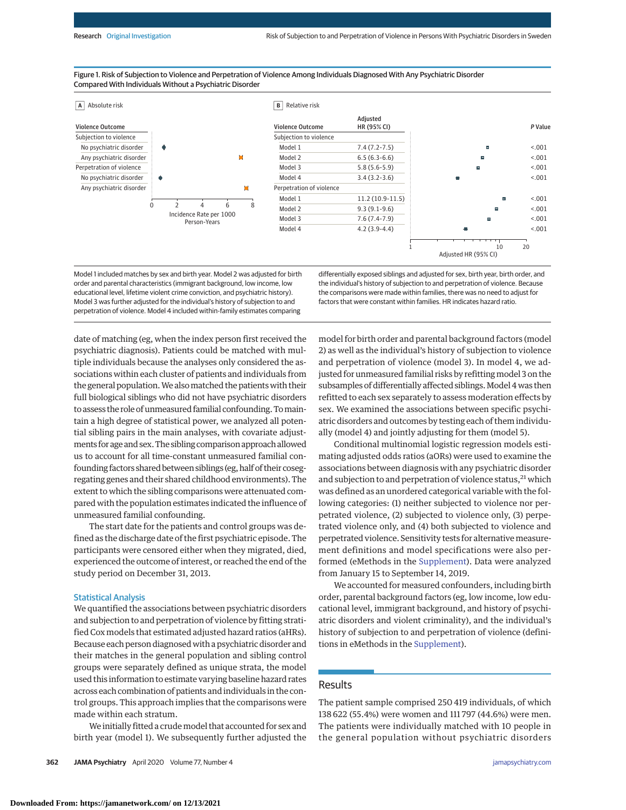#### Figure 1. Risk of Subjection to Violence and Perpetration of Violence Among Individuals Diagnosed With Any Psychiatric Disorder Compared With Individuals Without a Psychiatric Disorder



Model 1 included matches by sex and birth year. Model 2 was adjusted for birth order and parental characteristics (immigrant background, low income, low educational level, lifetime violent crime conviction, and psychiatric history). Model 3 was further adjusted for the individual's history of subjection to and perpetration of violence. Model 4 included within-family estimates comparing

differentially exposed siblings and adjusted for sex, birth year, birth order, and the individual's history of subjection to and perpetration of violence. Because the comparisons were made within families, there was no need to adjust for factors that were constant within families. HR indicates hazard ratio.

date of matching (eg, when the index person first received the psychiatric diagnosis). Patients could be matched with multiple individuals because the analyses only considered the associations within each cluster of patients and individuals from the general population.We alsomatched the patients with their full biological siblings who did not have psychiatric disorders to assess the role of unmeasured familial confounding. Tomaintain a high degree of statistical power, we analyzed all potential sibling pairs in the main analyses, with covariate adjustments for age and sex.The sibling comparison approach allowed us to account for all time-constant unmeasured familial confounding factors shared between siblings (eg, half of their cosegregating genes and their shared childhood environments). The extent to which the sibling comparisons were attenuated compared with the population estimates indicated the influence of unmeasured familial confounding.

The start date for the patients and control groups was defined as the discharge date of the first psychiatric episode. The participants were censored either when they migrated, died, experienced the outcome of interest, or reached the end of the study period on December 31, 2013.

### Statistical Analysis

We quantified the associations between psychiatric disorders and subjection to and perpetration of violence by fitting stratified Cox models that estimated adjusted hazard ratios (aHRs). Because each person diagnosed with a psychiatric disorder and their matches in the general population and sibling control groups were separately defined as unique strata, the model used this information to estimate varying baseline hazard rates across each combination of patients and individuals in the control groups. This approach implies that the comparisons were made within each stratum.

We initially fitted a crudemodel that accounted for sex and birth year (model 1). We subsequently further adjusted the

**362 JAMA Psychiatry** April 2020 Volume 77, Number 4 **(Reprinted)** [jamapsychiatry.com](http://www.jamapsychiatry.com/?utm_campaign=articlePDF%26utm_medium=articlePDFlink%26utm_source=articlePDF%26utm_content=jamapsychiatry.2019.4275)

model for birth order and parental background factors (model 2) as well as the individual's history of subjection to violence and perpetration of violence (model 3). In model 4, we adjusted for unmeasured familial risks by refitting model 3 on the subsamples of differentially affected siblings. Model 4 was then refitted to each sex separately to assess moderation effects by sex. We examined the associations between specific psychiatric disorders and outcomes by testing each of them individually (model 4) and jointly adjusting for them (model 5).

Conditional multinomial logistic regression models estimating adjusted odds ratios (aORs) were used to examine the associations between diagnosis with any psychiatric disorder and subjection to and perpetration of violence status, $^{21}$  which was defined as an unordered categorical variable with the following categories: (1) neither subjected to violence nor perpetrated violence, (2) subjected to violence only, (3) perpetrated violence only, and (4) both subjected to violence and perpetrated violence. Sensitivity tests for alternative measurement definitions and model specifications were also performed (eMethods in the [Supplement\)](https://jamanetwork.com/journals/jama/fullarticle/10.1001/jamapsychiatry.2019.4275?utm_campaign=articlePDF%26utm_medium=articlePDFlink%26utm_source=articlePDF%26utm_content=jamapsychiatry.2019.4275). Data were analyzed from January 15 to September 14, 2019.

We accounted for measured confounders, including birth order, parental background factors (eg, low income, low educational level, immigrant background, and history of psychiatric disorders and violent criminality), and the individual's history of subjection to and perpetration of violence (definitions in eMethods in the [Supplement\)](https://jamanetwork.com/journals/jama/fullarticle/10.1001/jamapsychiatry.2019.4275?utm_campaign=articlePDF%26utm_medium=articlePDFlink%26utm_source=articlePDF%26utm_content=jamapsychiatry.2019.4275).

# Results

The patient sample comprised 250 419 individuals, of which 138 622 (55.4%) were women and 111 797 (44.6%) were men. The patients were individually matched with 10 people in the general population without psychiatric disorders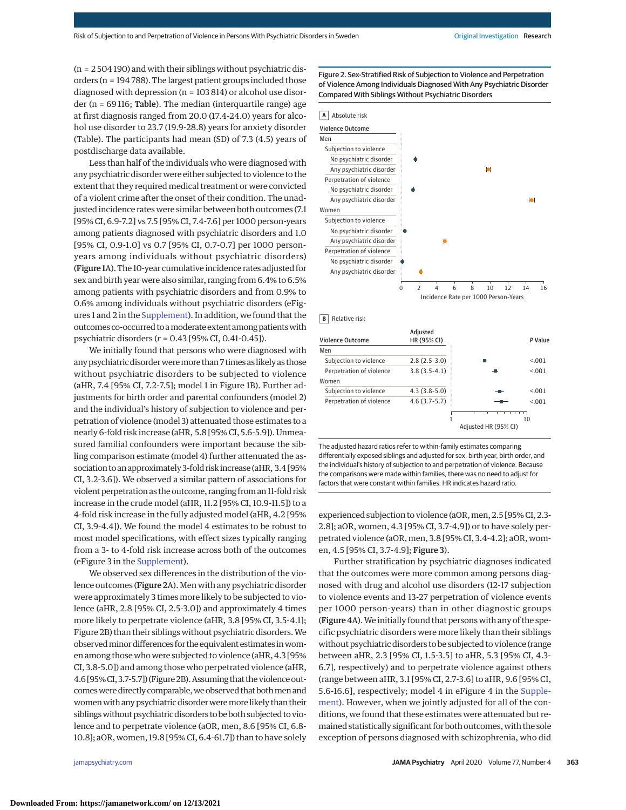(n = 2 504 190) and with their siblings without psychiatric disorders (n = 194 788). The largest patient groups included those diagnosed with depression (n = 103 814) or alcohol use disorder ( $n = 69116$ ; Table). The median (interquartile range) age at first diagnosis ranged from 20.0 (17.4-24.0) years for alcohol use disorder to 23.7 (19.9-28.8) years for anxiety disorder (Table). The participants had mean (SD) of 7.3 (4.5) years of postdischarge data available.

Less than half of the individuals who were diagnosed with any psychiatric disorder were either subjected to violence to the extent that they required medical treatment or were convicted of a violent crime after the onset of their condition. The unadjusted incidence rates were similar between both outcomes (7.1 [95% CI, 6.9-7.2] vs 7.5 [95% CI, 7.4-7.6] per 1000 person-years among patients diagnosed with psychiatric disorders and 1.0 [95% CI, 0.9-1.0] vs 0.7 [95% CI, 0.7-0.7] per 1000 personyears among individuals without psychiatric disorders) (Figure 1A). The 10-year cumulative incidence rates adjusted for sex and birth year were also similar, ranging from 6.4% to 6.5% among patients with psychiatric disorders and from 0.9% to 0.6% among individuals without psychiatric disorders (eFigures 1 and 2 in the [Supplement\)](https://jamanetwork.com/journals/jama/fullarticle/10.1001/jamapsychiatry.2019.4275?utm_campaign=articlePDF%26utm_medium=articlePDFlink%26utm_source=articlePDF%26utm_content=jamapsychiatry.2019.4275). In addition, we found that the outcomes co-occurred to a moderate extent among patients with psychiatric disorders (*r* = 0.43 [95% CI, 0.41-0.45]).

We initially found that persons who were diagnosed with any psychiatric disorder were more than 7 times as likely as those without psychiatric disorders to be subjected to violence (aHR, 7.4 [95% CI, 7.2-7.5]; model 1 in Figure 1B). Further adjustments for birth order and parental confounders (model 2) and the individual's history of subjection to violence and perpetration of violence (model 3) attenuated those estimates to a nearly 6-fold risk increase (aHR, 5.8 [95% CI, 5.6-5.9]). Unmeasured familial confounders were important because the sibling comparison estimate (model 4) further attenuated the association to an approximately 3-fold risk increase (aHR, 3.4 [95% CI, 3.2-3.6]). We observed a similar pattern of associations for violent perpetration as the outcome, ranging from an 11-fold risk increase in the crude model (aHR, 11.2 [95% CI, 10.9-11.5]) to a 4-fold risk increase in the fully adjusted model (aHR, 4.2 [95% CI, 3.9-4.4]). We found the model 4 estimates to be robust to most model specifications, with effect sizes typically ranging from a 3- to 4-fold risk increase across both of the outcomes (eFigure 3 in the [Supplement\)](https://jamanetwork.com/journals/jama/fullarticle/10.1001/jamapsychiatry.2019.4275?utm_campaign=articlePDF%26utm_medium=articlePDFlink%26utm_source=articlePDF%26utm_content=jamapsychiatry.2019.4275).

We observed sex differences in the distribution of the violence outcomes (Figure 2A). Men with any psychiatric disorder were approximately 3 times more likely to be subjected to violence (aHR, 2.8 [95% CI, 2.5-3.0]) and approximately 4 times more likely to perpetrate violence (aHR, 3.8 [95% CI, 3.5-4.1]; Figure 2B) than their siblings without psychiatric disorders.We observed minor differences for the equivalent estimates in women among those who were subjected to violence (aHR, 4.3 [95% CI, 3.8-5.0]) and among those who perpetrated violence (aHR, 4.6 [95%CI, 3.7-5.7]) (Figure 2B). Assuming that the violence outcomes were directly comparable, we observed that both men and women with any psychiatric disorder were more likely than their siblings without psychiatric disorders to be both subjected to violence and to perpetrate violence (aOR, men, 8.6 [95% CI, 6.8- 10.8]; aOR, women, 19.8 [95% CI, 6.4-61.7]) than to have solely

Figure 2. Sex-Stratified Risk of Subjection to Violence and Perpetration of Violence Among Individuals Diagnosed With Any Psychiatric Disorder Compared With Siblings Without Psychiatric Disorders



The adjusted hazard ratios refer to within-family estimates comparing differentially exposed siblings and adjusted for sex, birth year, birth order, and the individual's history of subjection to and perpetration of violence. Because the comparisons were made within families, there was no need to adjust for factors that were constant within families. HR indicates hazard ratio.

experienced subjection to violence (aOR,men, 2.5 [95% CI, 2.3- 2.8]; aOR, women, 4.3 [95% CI, 3.7-4.9]) or to have solely perpetrated violence (aOR, men, 3.8 [95% CI, 3.4-4.2]; aOR, women, 4.5 [95% CI, 3.7-4.9]; Figure 3).

Further stratification by psychiatric diagnoses indicated that the outcomes were more common among persons diagnosed with drug and alcohol use disorders (12-17 subjection to violence events and 13-27 perpetration of violence events per 1000 person-years) than in other diagnostic groups (Figure 4A).We initially found that persons with any of the specific psychiatric disorders were more likely than their siblings without psychiatric disorders to be subjected to violence (range between aHR, 2.3 [95% CI, 1.5-3.5] to aHR, 5.3 [95% CI, 4.3- 6.7], respectively) and to perpetrate violence against others (range between aHR, 3.1 [95% CI, 2.7-3.6] to aHR, 9.6 [95% CI, 5.6-16.6], respectively; model 4 in eFigure 4 in the [Supple](https://jamanetwork.com/journals/jama/fullarticle/10.1001/jamapsychiatry.2019.4275?utm_campaign=articlePDF%26utm_medium=articlePDFlink%26utm_source=articlePDF%26utm_content=jamapsychiatry.2019.4275)[ment\)](https://jamanetwork.com/journals/jama/fullarticle/10.1001/jamapsychiatry.2019.4275?utm_campaign=articlePDF%26utm_medium=articlePDFlink%26utm_source=articlePDF%26utm_content=jamapsychiatry.2019.4275). However, when we jointly adjusted for all of the conditions, we found that these estimates were attenuated but remained statistically significant for both outcomes, with the sole exception of persons diagnosed with schizophrenia, who did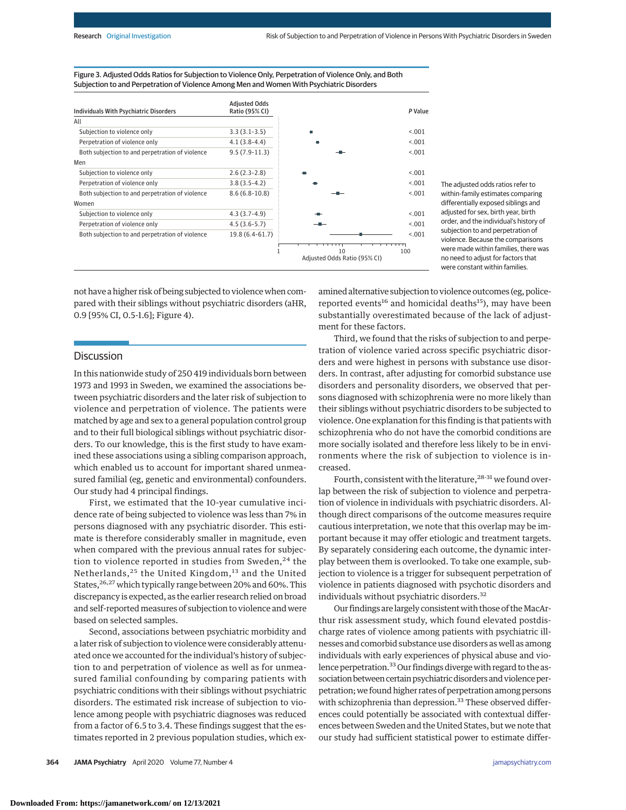| <b>Individuals With Psychiatric Disorders</b>   | <b>Adjusted Odds</b><br>Ratio (95% CI) |                                    | P Value |
|-------------------------------------------------|----------------------------------------|------------------------------------|---------|
| All                                             |                                        |                                    |         |
| Subjection to violence only                     | $3.3(3.1-3.5)$                         |                                    | < 0.01  |
| Perpetration of violence only                   | $4.1(3.8-4.4)$                         |                                    | < 0.01  |
| Both subjection to and perpetration of violence | $9.5(7.9-11.3)$                        |                                    | < 0.001 |
| Men                                             |                                        |                                    |         |
| Subjection to violence only                     | $2.6(2.3-2.8)$                         |                                    | < 0.01  |
| Perpetration of violence only                   | $3.8(3.5-4.2)$                         |                                    | < 0.01  |
| Both subjection to and perpetration of violence | $8.6(6.8-10.8)$                        |                                    | < 0.001 |
| Women                                           |                                        |                                    |         |
| Subjection to violence only                     | $4.3(3.7-4.9)$                         |                                    | < 0.01  |
| Perpetration of violence only                   | $4.5(3.6-5.7)$                         |                                    | < 0.01  |
| Both subjection to and perpetration of violence | 19.8 (6.4-61.7)                        |                                    | < 0.001 |
|                                                 |                                        | 10<br>Adjusted Odds Ratio (95% CI) | 100     |

Figure 3. Adjusted Odds Ratios for Subjection to Violence Only, Perpetration of Violence Only, and Both Subjection to and Perpetration of Violence Among Men and Women With Psychiatric Disorders

not have a higher risk of being subjected to violence when compared with their siblings without psychiatric disorders (aHR, 0.9 [95% CI, 0.5-1.6]; Figure 4).

# **Discussion**

In this nationwide study of 250 419 individuals born between 1973 and 1993 in Sweden, we examined the associations between psychiatric disorders and the later risk of subjection to violence and perpetration of violence. The patients were matched by age and sex to a general population control group and to their full biological siblings without psychiatric disorders. To our knowledge, this is the first study to have examined these associations using a sibling comparison approach, which enabled us to account for important shared unmeasured familial (eg, genetic and environmental) confounders. Our study had 4 principal findings.

First, we estimated that the 10-year cumulative incidence rate of being subjected to violence was less than 7% in persons diagnosed with any psychiatric disorder. This estimate is therefore considerably smaller in magnitude, even when compared with the previous annual rates for subjection to violence reported in studies from Sweden, $24$  the Netherlands,<sup>25</sup> the United Kingdom,<sup>13</sup> and the United States, <sup>26, 27</sup> which typically range between 20% and 60%. This discrepancy is expected, as the earlier research relied on broad and self-reported measures of subjection to violence and were based on selected samples.

Second, associations between psychiatric morbidity and a later risk of subjection to violence were considerably attenuated once we accounted for the individual's history of subjection to and perpetration of violence as well as for unmeasured familial confounding by comparing patients with psychiatric conditions with their siblings without psychiatric disorders. The estimated risk increase of subjection to violence among people with psychiatric diagnoses was reduced from a factor of 6.5 to 3.4. These findings suggest that the estimates reported in 2 previous population studies, which ex-

The adjusted odds ratios refer to within-family estimates comparing differentially exposed siblings and adjusted for sex, birth year, birth order, and the individual's history of subjection to and perpetration of violence. Because the comparisons were made within families, there was no need to adjust for factors that were constant within families.

amined alternative subjection to violence outcomes (eg, policereported events<sup>16</sup> and homicidal deaths<sup>15</sup>), may have been substantially overestimated because of the lack of adjustment for these factors.

Third, we found that the risks of subjection to and perpetration of violence varied across specific psychiatric disorders and were highest in persons with substance use disorders. In contrast, after adjusting for comorbid substance use disorders and personality disorders, we observed that persons diagnosed with schizophrenia were no more likely than their siblings without psychiatric disorders to be subjected to violence. One explanation for this finding is that patients with schizophrenia who do not have the comorbid conditions are more socially isolated and therefore less likely to be in environments where the risk of subjection to violence is increased.

Fourth, consistent with the literature,<sup>28-31</sup> we found overlap between the risk of subjection to violence and perpetration of violence in individuals with psychiatric disorders. Although direct comparisons of the outcome measures require cautious interpretation, we note that this overlap may be important because it may offer etiologic and treatment targets. By separately considering each outcome, the dynamic interplay between them is overlooked. To take one example, subjection to violence is a trigger for subsequent perpetration of violence in patients diagnosed with psychotic disorders and individuals without psychiatric disorders.<sup>32</sup>

Our findings are largely consistent with those of the MacArthur risk assessment study, which found elevated postdischarge rates of violence among patients with psychiatric illnesses and comorbid substance use disorders as well as among individuals with early experiences of physical abuse and violence perpetration.<sup>33</sup> Our findings diverge with regard to the association between certain psychiatric disorders and violence perpetration;we found higher rates of perpetration among persons with schizophrenia than depression.<sup>33</sup> These observed differences could potentially be associated with contextual differences between Sweden and the United States, but we note that our study had sufficient statistical power to estimate differ-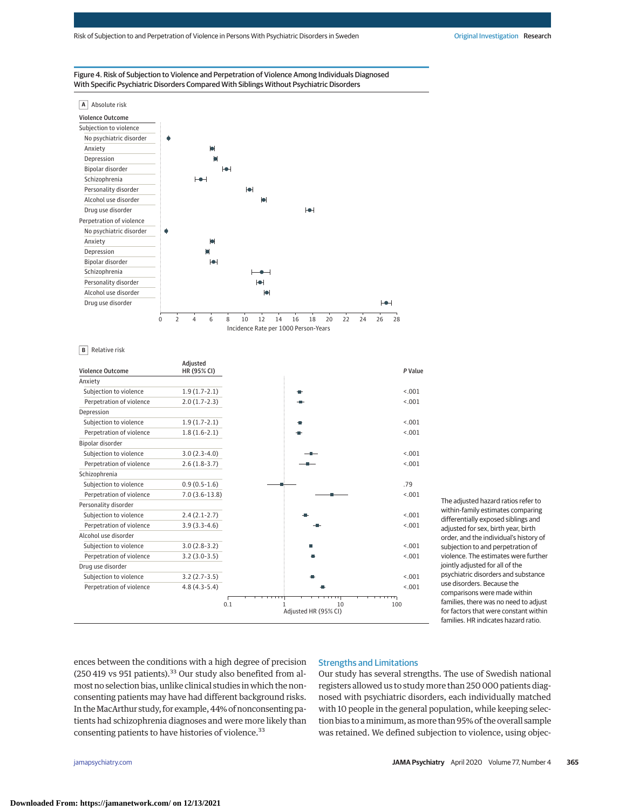



#### **B** Relative risk

| <b>Violence Outcome</b>  | Adjusted<br>HR (95% CI) |    |  |
|--------------------------|-------------------------|----|--|
| Anxiety                  |                         |    |  |
| Subjection to violence   | $1.9(1.7-2.1)$          | e. |  |
| Perpetration of violence | $2.0(1.7-2.3)$          |    |  |
| Depression               |                         |    |  |
| Subjection to violence   | $1.9(1.7-2.1)$          |    |  |
| Perpetration of violence | $1.8(1.6-2.1)$          |    |  |
| Bipolar disorder         |                         |    |  |
| Subjection to violence   | $3.0(2.3-4.0)$          |    |  |
| Perpetration of violence | $2.6(1.8-3.7)$          |    |  |
| Schizophrenia            |                         |    |  |
| Subjection to violence   | $0.9(0.5-1.6)$          |    |  |
| Perpetration of violence | $7.0(3.6-13.8)$         |    |  |
| Personality disorder     |                         |    |  |
| Subjection to violence   | $2.4(2.1-2.7)$          |    |  |
| Perpetration of violence | $3.9(3.3-4.6)$          |    |  |
| Alcohol use disorder     |                         |    |  |
| Subjection to violence   | $3.0(2.8-3.2)$          | П  |  |
| Perpetration of violence | $3.2(3.0-3.5)$          |    |  |
| Drug use disorder        |                         |    |  |
| Subjection to violence   | $3.2(2.7-3.5)$          |    |  |
| Perpetration of violence | $4.8(4.3-5.4)$          |    |  |

The adjusted hazard ratios refer to within-family estimates comparing differentially exposed siblings and adjusted for sex, birth year, birth order, and the individual's history of subjection to and perpetration of violence. The estimates were further jointly adjusted for all of the psychiatric disorders and substance use disorders. Because the comparisons were made within families, there was no need to adjust for factors that were constant within families. HR indicates hazard ratio.

ences between the conditions with a high degree of precision (250 419 vs 951 patients). $33$  Our study also benefited from almost no selection bias, unlike clinical studies in which the nonconsenting patients may have had different background risks. In theMacArthur study, for example, 44% of nonconsenting patients had schizophrenia diagnoses and were more likely than consenting patients to have histories of violence.<sup>33</sup>

# Strengths and Limitations

Our study has several strengths. The use of Swedish national registers allowed us to study more than 250 000 patients diagnosed with psychiatric disorders, each individually matched with 10 people in the general population, while keeping selection bias to aminimum, asmore than 95% of the overall sample was retained. We defined subjection to violence, using objec-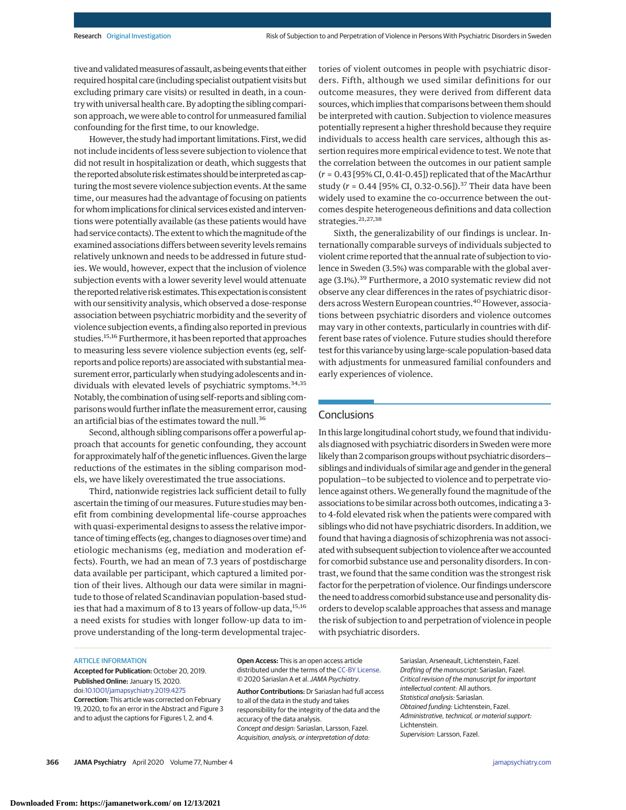tive and validated measures of assault, as being events that either required hospital care (including specialist outpatient visits but excluding primary care visits) or resulted in death, in a country with universal health care. By adopting the sibling comparison approach, we were able to control for unmeasured familial confounding for the first time, to our knowledge.

However, the study had important limitations. First, we did not include incidents of less severe subjection to violence that did not result in hospitalization or death, which suggests that the reported absolute risk estimates should be interpreted as capturing the most severe violence subjection events. At the same time, our measures had the advantage of focusing on patients for whom implications for clinical services existed and interventions were potentially available (as these patients would have had service contacts). The extent to which themagnitude of the examined associations differs between severity levels remains relatively unknown and needs to be addressed in future studies. We would, however, expect that the inclusion of violence subjection events with a lower severity level would attenuate the reported relative risk estimates.This expectation isconsistent with our sensitivity analysis, which observed a dose-response association between psychiatric morbidity and the severity of violence subjection events, a finding also reported in previous studies.<sup>15,16</sup> Furthermore, it has been reported that approaches to measuring less severe violence subjection events (eg, selfreports and police reports) are associated with substantialmeasurement error, particularly when studying adolescents and individuals with elevated levels of psychiatric symptoms.<sup>34,35</sup> Notably, the combination of using self-reports and sibling comparisons would further inflate the measurement error, causing an artificial bias of the estimates toward the null.<sup>36</sup>

Second, although sibling comparisons offer a powerful approach that accounts for genetic confounding, they account for approximately half of the genetic influences. Given the large reductions of the estimates in the sibling comparison models, we have likely overestimated the true associations.

Third, nationwide registries lack sufficient detail to fully ascertain the timing of our measures. Future studies may benefit from combining developmental life-course approaches with quasi-experimental designs to assess the relative importance of timing effects (eg, changes to diagnoses over time) and etiologic mechanisms (eg, mediation and moderation effects). Fourth, we had an mean of 7.3 years of postdischarge data available per participant, which captured a limited portion of their lives. Although our data were similar in magnitude to those of related Scandinavian population-based studies that had a maximum of 8 to 13 years of follow-up data, $^{15,16}$ a need exists for studies with longer follow-up data to improve understanding of the long-term developmental trajectories of violent outcomes in people with psychiatric disorders. Fifth, although we used similar definitions for our outcome measures, they were derived from different data sources, which implies that comparisons between them should be interpreted with caution. Subjection to violence measures potentially represent a higher threshold because they require individuals to access health care services, although this assertion requires more empirical evidence to test. We note that the correlation between the outcomes in our patient sample (*r* = 0.43 [95% CI, 0.41-0.45]) replicated that of the MacArthur study (*r* = 0.44 [95% CI, 0.32-0.56]).<sup>37</sup> Their data have been widely used to examine the co-occurrence between the outcomes despite heterogeneous definitions and data collection strategies.21,27,38

Sixth, the generalizability of our findings is unclear. Internationally comparable surveys of individuals subjected to violent crime reported that the annual rate of subjection to violence in Sweden (3.5%) was comparable with the global average (3.1%).<sup>39</sup> Furthermore, a 2010 systematic review did not observe any clear differences in the rates of psychiatric disorders across Western European countries.<sup>40</sup> However, associations between psychiatric disorders and violence outcomes may vary in other contexts, particularly in countries with different base rates of violence. Future studies should therefore test for this variance by using large-scale population-based data with adjustments for unmeasured familial confounders and early experiences of violence.

# **Conclusions**

In this large longitudinal cohort study, we found that individuals diagnosed with psychiatric disorders in Sweden were more likely than 2 comparison groups without psychiatric disorderssiblings and individuals of similar age and gender in the general population—to be subjected to violence and to perpetrate violence against others.We generally found the magnitude of the associations to be similar across both outcomes, indicating a 3 to 4-fold elevated risk when the patients were compared with siblings who did not have psychiatric disorders. In addition, we found that having a diagnosis of schizophrenia was not associated with subsequent subjection to violence after we accounted for comorbid substance use and personality disorders. In contrast, we found that the same condition was the strongest risk factor for the perpetration of violence. Our findings underscore the need to address comorbid substance use and personality disorders to develop scalable approaches that assess and manage the risk of subjection to and perpetration of violence in people with psychiatric disorders.

#### ARTICLE INFORMATION

**Accepted for Publication:** October 20, 2019. **Published Online:** January 15, 2020. doi[:10.1001/jamapsychiatry.2019.4275](https://jamanetwork.com/journals/jama/fullarticle/10.1001/jamapsychiatry.2019.4275?utm_campaign=articlePDF%26utm_medium=articlePDFlink%26utm_source=articlePDF%26utm_content=jamapsychiatry.2019.4275) **Correction:** This article was corrected on February 19, 2020, to fix an error in the Abstract and Figure 3 and to adjust the captions for Figures 1, 2, and 4.

**Open Access:** This is an open access article distributed under the terms of the [CC-BY License.](https://jamanetwork.com/journals/jamapsychiatry/pages/instructions-for-authors?utm_campaign=articlePDF%26utm_medium=articlePDFlink%26utm_source=articlePDF%26utm_content=jamapsychiatry.2019.4275#SecOpenAccess) © 2020 Sariaslan A et al.JAMA Psychiatry.

**Author Contributions:** Dr Sariaslan had full access to all of the data in the study and takes responsibility for the integrity of the data and the accuracy of the data analysis. Concept and design: Sariaslan, Larsson, Fazel. Acquisition, analysis, or interpretation of data:

Sariaslan, Arseneault, Lichtenstein, Fazel. Drafting of the manuscript: Sariaslan, Fazel. Critical revision of the manuscript for important intellectual content: All authors. Statistical analysis: Sariaslan. Obtained funding: Lichtenstein, Fazel. Administrative, technical, or material support: Lichtenstein. Supervision: Larsson, Fazel.